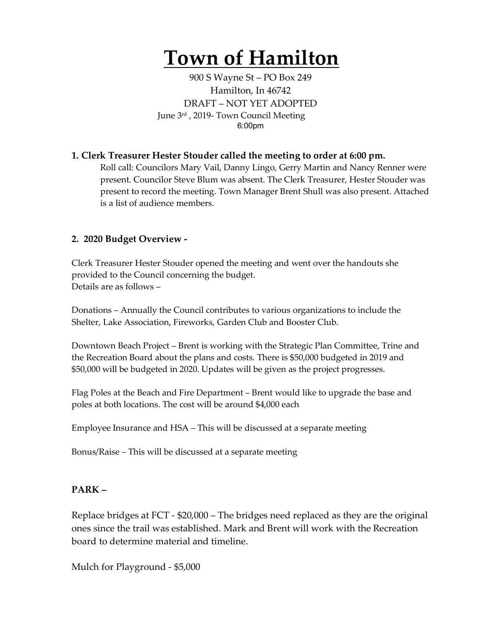## **Town of Hamilton**

900 S Wayne St – PO Box 249 Hamilton, In 46742 DRAFT – NOT YET ADOPTED June 3rd , 2019- Town Council Meeting 6:00pm

## **1. Clerk Treasurer Hester Stouder called the meeting to order at 6:00 pm.**

Roll call: Councilors Mary Vail, Danny Lingo, Gerry Martin and Nancy Renner were present. Councilor Steve Blum was absent. The Clerk Treasurer, Hester Stouder was present to record the meeting. Town Manager Brent Shull was also present. Attached is a list of audience members.

## **2. 2020 Budget Overview -**

Clerk Treasurer Hester Stouder opened the meeting and went over the handouts she provided to the Council concerning the budget. Details are as follows –

Donations – Annually the Council contributes to various organizations to include the Shelter, Lake Association, Fireworks, Garden Club and Booster Club.

Downtown Beach Project – Brent is working with the Strategic Plan Committee, Trine and the Recreation Board about the plans and costs. There is \$50,000 budgeted in 2019 and \$50,000 will be budgeted in 2020. Updates will be given as the project progresses.

Flag Poles at the Beach and Fire Department – Brent would like to upgrade the base and poles at both locations. The cost will be around \$4,000 each

Employee Insurance and HSA – This will be discussed at a separate meeting

Bonus/Raise – This will be discussed at a separate meeting

## **PARK –**

Replace bridges at FCT - \$20,000 – The bridges need replaced as they are the original ones since the trail was established. Mark and Brent will work with the Recreation board to determine material and timeline.

Mulch for Playground - \$5,000